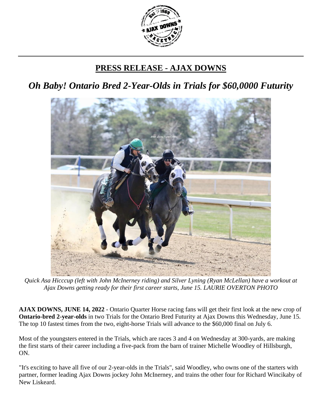

## **PRESS RELEASE - AJAX DOWNS**

*Oh Baby! Ontario Bred 2-Year-Olds in Trials for \$60,0000 Futurity*



*Quick Asa Hicccup (left with John McInerney riding) and Silver Lyning (Ryan McLellan) have a workout at Ajax Downs getting ready for their first career starts, June 15. LAURIE OVERTON PHOTO*

**AJAX DOWNS, JUNE 14, 2022** - Ontario Quarter Horse racing fans will get their first look at the new crop of **Ontario-bred 2-year-olds** in two Trials for the Ontario Bred Futurity at Ajax Downs this Wednesday, June 15. The top 10 fastest times from the two, eight-horse Trials will advance to the \$60,000 final on July 6.

Most of the youngsters entered in the Trials, which are races 3 and 4 on Wednesday at 300-yards, are making the first starts of their career including a five-pack from the barn of trainer Michelle Woodley of Hillsburgh, ON.

"It's exciting to have all five of our 2-year-olds in the Trials", said Woodley, who owns one of the starters with partner, former leading Ajax Downs jockey John McInerney, and trains the other four for Richard Wincikaby of New Liskeard.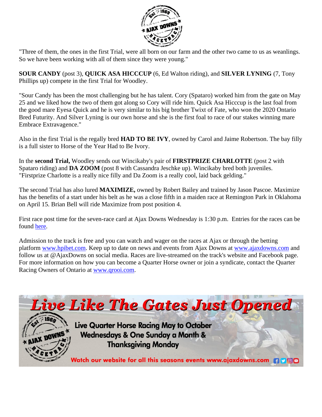

"Three of them, the ones in the first Trial, were all born on our farm and the other two came to us as weanlings. So we have been working with all of them since they were young."

**SOUR CANDY** (post 3), **QUICK ASA HICCCUP** (6, Ed Walton riding), and **SILVER LYNING** (7, Tony Phillips up) compete in the first Trial for Woodley.

"Sour Candy has been the most challenging but he has talent. Cory (Spataro) worked him from the gate on May 25 and we liked how the two of them got along so Cory will ride him. Quick Asa Hicccup is the last foal from the good mare Eyesa Quick and he is very similar to his big brother Twixt of Fate, who won the 2020 Ontario Bred Futurity. And Silver Lyning is our own horse and she is the first foal to race of our stakes winning mare Embrace Extravagence."

Also in the first Trial is the regally bred **HAD TO BE IVY**, owned by Carol and Jaime Robertson. The bay filly is a full sister to Horse of the Year Had to Be Ivory.

In the **second Trial,** Woodley sends out Wincikaby's pair of **FIRSTPRIZE CHARLOTTE** (post 2 with Spataro riding) and **DA ZOOM** (post 8 with Cassandra Jeschke up). Wincikaby bred both juveniles. "Firstprize Charlotte is a really nice filly and Da Zoom is a really cool, laid back gelding."

The second Trial has also lured **MAXIMIZE,** owned by Robert Bailey and trained by Jason Pascoe. Maximize has the benefits of a start under his belt as he was a close fifth in a maiden race at Remington Park in Oklahoma on April 15. Brian Bell will ride Maximize from post position 4.

First race post time for the seven-race card at Ajax Downs Wednesday is 1:30 p.m. Entries for the races can be found [here.](https://www.equibase.com/static/entry/RaceCardIndexAJX061522CAN-EQB.html)

Admission to the track is free and you can watch and wager on the races at Ajax or through the betting platform [www.hpibet.com.](http://www.hpibet.com/) Keep up to date on news and events from Ajax Downs at [www.ajaxdowns.com](http://www.ajaxdowns.com/) and follow us at @AjaxDowns on social media. Races are live-streamed on the track's website and Facebook page. For more information on how you can become a Quarter Horse owner or join a syndicate, contact the Quarter Racing Owners of Ontario at [www.qrooi.com.](http://www.qrooi.com/)